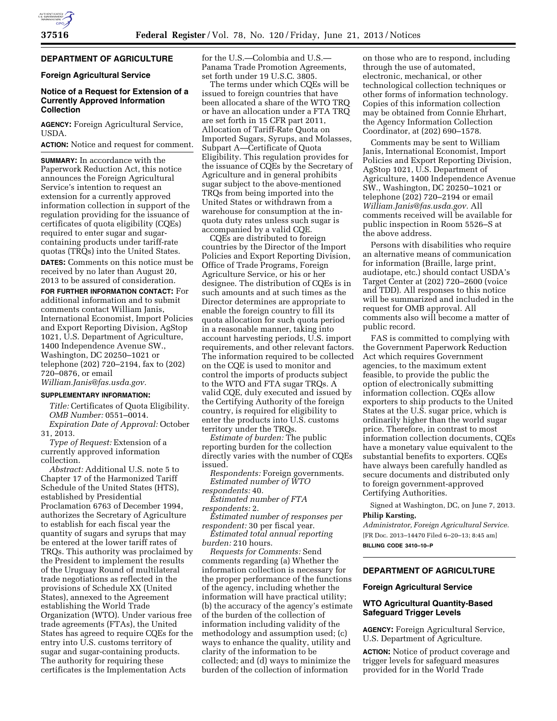

## **DEPARTMENT OF AGRICULTURE**

## **Foreign Agricultural Service**

## **Notice of a Request for Extension of a Currently Approved Information Collection**

**AGENCY:** Foreign Agricultural Service, USDA.

**ACTION:** Notice and request for comment.

**SUMMARY:** In accordance with the Paperwork Reduction Act, this notice announces the Foreign Agricultural Service's intention to request an extension for a currently approved information collection in support of the regulation providing for the issuance of certificates of quota eligibility (CQEs) required to enter sugar and sugarcontaining products under tariff-rate quotas (TRQs) into the United States.

**DATES:** Comments on this notice must be received by no later than August 20, 2013 to be assured of consideration.

**FOR FURTHER INFORMATION CONTACT:** For additional information and to submit comments contact William Janis, International Economist, Import Policies and Export Reporting Division, AgStop 1021, U.S. Department of Agriculture, 1400 Independence Avenue SW., Washington, DC 20250–1021 or telephone (202) 720–2194, fax to (202) 720–0876, or email

*[William.Janis@fas.usda.gov.](mailto:William.Janis@fas.usda.gov)* 

#### **SUPPLEMENTARY INFORMATION:**

*Title:* Certificates of Quota Eligibility. *OMB Number:* 0551–0014. *Expiration Date of Approval:* October

31, 2013.

*Type of Request:* Extension of a currently approved information collection.

*Abstract:* Additional U.S. note 5 to Chapter 17 of the Harmonized Tariff Schedule of the United States (HTS), established by Presidential Proclamation 6763 of December 1994, authorizes the Secretary of Agriculture to establish for each fiscal year the quantity of sugars and syrups that may be entered at the lower tariff rates of TRQs. This authority was proclaimed by the President to implement the results of the Uruguay Round of multilateral trade negotiations as reflected in the provisions of Schedule XX (United States), annexed to the Agreement establishing the World Trade Organization (WTO). Under various free trade agreements (FTAs), the United States has agreed to require CQEs for the entry into U.S. customs territory of sugar and sugar-containing products. The authority for requiring these certificates is the Implementation Acts

for the U.S.—Colombia and U.S.— Panama Trade Promotion Agreements, set forth under 19 U.S.C. 3805.

The terms under which CQEs will be issued to foreign countries that have been allocated a share of the WTO TRQ or have an allocation under a FTA TRQ are set forth in 15 CFR part 2011, Allocation of Tariff-Rate Quota on Imported Sugars, Syrups, and Molasses, Subpart A—Certificate of Quota Eligibility. This regulation provides for the issuance of CQEs by the Secretary of Agriculture and in general prohibits sugar subject to the above-mentioned TRQs from being imported into the United States or withdrawn from a warehouse for consumption at the inquota duty rates unless such sugar is accompanied by a valid CQE.

CQEs are distributed to foreign countries by the Director of the Import Policies and Export Reporting Division, Office of Trade Programs, Foreign Agriculture Service, or his or her designee. The distribution of CQEs is in such amounts and at such times as the Director determines are appropriate to enable the foreign country to fill its quota allocation for such quota period in a reasonable manner, taking into account harvesting periods, U.S. import requirements, and other relevant factors. The information required to be collected on the CQE is used to monitor and control the imports of products subject to the WTO and FTA sugar TRQs. A valid CQE, duly executed and issued by the Certifying Authority of the foreign country, is required for eligibility to enter the products into U.S. customs territory under the TRQs.

*Estimate of burden:* The public reporting burden for the collection directly varies with the number of CQEs issued.

*Respondents:* Foreign governments. *Estimated number of WTO* 

*respondents:* 40.

*Estimated number of FTA respondents:* 2.

*Estimated number of responses per respondent:* 30 per fiscal year.

*Estimated total annual reporting burden:* 210 hours.

*Requests for Comments:* Send comments regarding (a) Whether the information collection is necessary for the proper performance of the functions of the agency, including whether the information will have practical utility; (b) the accuracy of the agency's estimate of the burden of the collection of information including validity of the methodology and assumption used; (c) ways to enhance the quality, utility and clarity of the information to be collected; and (d) ways to minimize the burden of the collection of information

on those who are to respond, including through the use of automated, electronic, mechanical, or other technological collection techniques or other forms of information technology. Copies of this information collection may be obtained from Connie Ehrhart, the Agency Information Collection Coordinator, at (202) 690–1578.

Comments may be sent to William Janis, International Economist, Import Policies and Export Reporting Division, AgStop 1021, U.S. Department of Agriculture, 1400 Independence Avenue SW., Washington, DC 20250–1021 or telephone (202) 720–2194 or email *[William.Janis@fas.usda.gov.](mailto:William.Janis@fas.usda.gov)* All comments received will be available for public inspection in Room 5526–S at the above address.

Persons with disabilities who require an alternative means of communication for information (Braille, large print, audiotape, etc.) should contact USDA's Target Center at (202) 720–2600 (voice and TDD). All responses to this notice will be summarized and included in the request for OMB approval. All comments also will become a matter of public record.

FAS is committed to complying with the Government Paperwork Reduction Act which requires Government agencies, to the maximum extent feasible, to provide the public the option of electronically submitting information collection. CQEs allow exporters to ship products to the United States at the U.S. sugar price, which is ordinarily higher than the world sugar price. Therefore, in contrast to most information collection documents, CQEs have a monetary value equivalent to the substantial benefits to exporters. CQEs have always been carefully handled as secure documents and distributed only to foreign government-approved Certifying Authorities.

Signed at Washington, DC, on June 7, 2013. **Philip Karsting,** 

*Administrator, Foreign Agricultural Service.*  [FR Doc. 2013–14470 Filed 6–20–13; 8:45 am] **BILLING CODE 3410–10–P** 

# **DEPARTMENT OF AGRICULTURE**

#### **Foreign Agricultural Service**

## **WTO Agricultural Quantity-Based Safeguard Trigger Levels**

**AGENCY:** Foreign Agricultural Service, U.S. Department of Agriculture.

**ACTION:** Notice of product coverage and trigger levels for safeguard measures provided for in the World Trade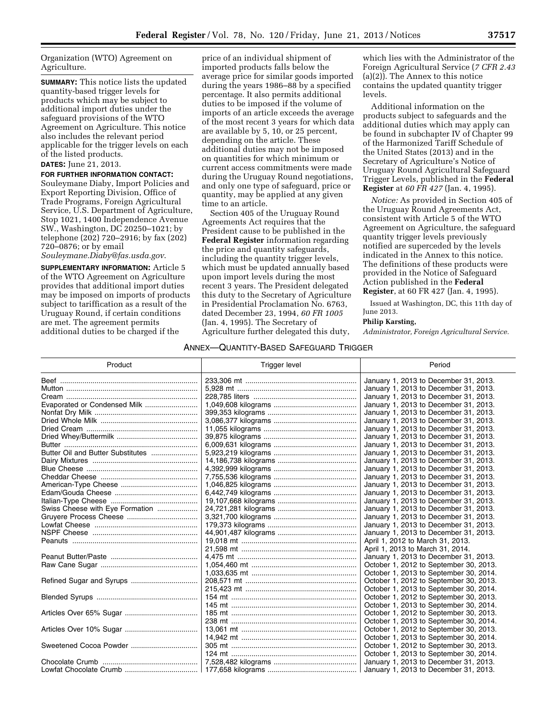Organization (WTO) Agreement on Agriculture.

**SUMMARY:** This notice lists the updated quantity-based trigger levels for products which may be subject to additional import duties under the safeguard provisions of the WTO Agreement on Agriculture. This notice also includes the relevant period applicable for the trigger levels on each of the listed products.

# **DATES:** June 21, 2013.

**FOR FURTHER INFORMATION CONTACT:**  Souleymane Diaby, Import Policies and Export Reporting Division, Office of Trade Programs, Foreign Agricultural Service, U.S. Department of Agriculture, Stop 1021, 1400 Independence Avenue SW., Washington, DC 20250–1021; by telephone (202) 720–2916; by fax (202) 720–0876; or by email

*[Souleymane.Diaby@fas.usda.gov](mailto:Souleymane.Diaby@fas.usda.gov)*.

**SUPPLEMENTARY INFORMATION:** Article 5 of the WTO Agreement on Agriculture provides that additional import duties may be imposed on imports of products subject to tariffication as a result of the Uruguay Round, if certain conditions are met. The agreement permits additional duties to be charged if the

price of an individual shipment of imported products falls below the average price for similar goods imported during the years 1986–88 by a specified percentage. It also permits additional duties to be imposed if the volume of imports of an article exceeds the average of the most recent 3 years for which data are available by 5, 10, or 25 percent, depending on the article. These additional duties may not be imposed on quantities for which minimum or current access commitments were made during the Uruguay Round negotiations, and only one type of safeguard, price or quantity, may be applied at any given time to an article.

Section 405 of the Uruguay Round Agreements Act requires that the President cause to be published in the **Federal Register** information regarding the price and quantity safeguards, including the quantity trigger levels, which must be updated annually based upon import levels during the most recent 3 years. The President delegated this duty to the Secretary of Agriculture in Presidential Proclamation No. 6763, dated December 23, 1994, *60 FR 1005*  (Jan. 4, 1995). The Secretary of Agriculture further delegated this duty,

which lies with the Administrator of the Foreign Agricultural Service (*7 CFR 2.43*  (a)(2)). The Annex to this notice contains the updated quantity trigger levels.

Additional information on the products subject to safeguards and the additional duties which may apply can be found in subchapter IV of Chapter 99 of the Harmonized Tariff Schedule of the United States (2013) and in the Secretary of Agriculture's Notice of Uruguay Round Agricultural Safeguard Trigger Levels, published in the **Federal Register** at *60 FR 427* (Jan. 4, 1995).

*Notice:* As provided in Section 405 of the Uruguay Round Agreements Act, consistent with Article 5 of the WTO Agreement on Agriculture, the safeguard quantity trigger levels previously notified are superceded by the levels indicated in the Annex to this notice. The definitions of these products were provided in the Notice of Safeguard Action published in the **Federal Register**, at 60 FR 427 (Jan. 4, 1995).

Issued at Washington, DC, this 11th day of June 2013.

## **Philip Karsting,**

*Administrator, Foreign Agricultural Service.* 

#### ANNEX—QUANTITY-BASED SAFEGUARD TRIGGER

| Product                           | Trigger level | Period                                 |  |
|-----------------------------------|---------------|----------------------------------------|--|
|                                   |               | January 1, 2013 to December 31, 2013.  |  |
|                                   |               | January 1, 2013 to December 31, 2013.  |  |
|                                   |               | January 1, 2013 to December 31, 2013.  |  |
| Evaporated or Condensed Milk      |               | January 1, 2013 to December 31, 2013.  |  |
|                                   |               | January 1, 2013 to December 31, 2013.  |  |
|                                   |               | January 1, 2013 to December 31, 2013.  |  |
|                                   |               | January 1, 2013 to December 31, 2013.  |  |
|                                   |               | January 1, 2013 to December 31, 2013.  |  |
|                                   |               | January 1, 2013 to December 31, 2013.  |  |
| Butter Oil and Butter Substitutes |               | January 1, 2013 to December 31, 2013.  |  |
|                                   |               | January 1, 2013 to December 31, 2013.  |  |
|                                   |               | January 1, 2013 to December 31, 2013.  |  |
|                                   |               | January 1, 2013 to December 31, 2013.  |  |
|                                   |               | January 1, 2013 to December 31, 2013.  |  |
|                                   |               | January 1, 2013 to December 31, 2013.  |  |
|                                   |               | January 1, 2013 to December 31, 2013.  |  |
| Swiss Cheese with Eye Formation   |               | January 1, 2013 to December 31, 2013.  |  |
|                                   |               | January 1, 2013 to December 31, 2013.  |  |
|                                   |               | January 1, 2013 to December 31, 2013.  |  |
|                                   |               | January 1, 2013 to December 31, 2013.  |  |
|                                   |               | April 1, 2012 to March 31, 2013.       |  |
|                                   |               | April 1, 2013 to March 31, 2014.       |  |
|                                   |               | January 1, 2013 to December 31, 2013.  |  |
|                                   |               | October 1, 2012 to September 30, 2013. |  |
|                                   |               | October 1, 2013 to September 30, 2014. |  |
|                                   |               | October 1, 2012 to September 30, 2013. |  |
|                                   |               | October 1, 2013 to September 30, 2014. |  |
|                                   |               | October 1, 2012 to September 30, 2013. |  |
|                                   |               | October 1, 2013 to September 30, 2014. |  |
|                                   |               | October 1, 2012 to September 30, 2013. |  |
|                                   |               | October 1, 2013 to September 30, 2014. |  |
|                                   |               | October 1, 2012 to September 30, 2013. |  |
|                                   |               | October 1, 2013 to September 30, 2014. |  |
|                                   |               | October 1, 2012 to September 30, 2013. |  |
|                                   |               | October 1, 2013 to September 30, 2014. |  |
|                                   |               | January 1, 2013 to December 31, 2013.  |  |
|                                   |               | January 1, 2013 to December 31, 2013.  |  |